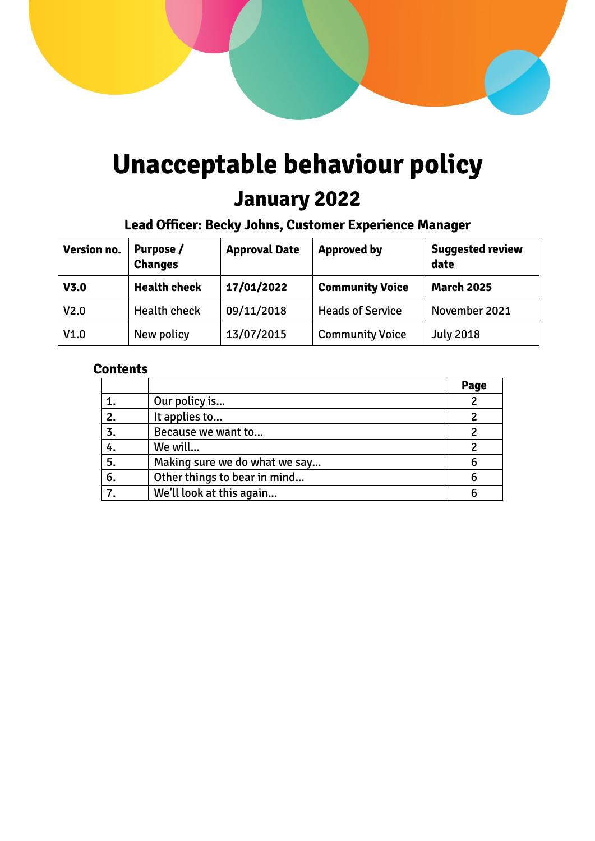# **Unacceptable behaviour policy**

# **January 2022**

# **Lead Officer: Becky Johns, Customer Experience Manager**

| Version no.      | Purpose /<br><b>Changes</b> | <b>Approval Date</b> | <b>Approved by</b>      | <b>Suggested review</b><br>date |
|------------------|-----------------------------|----------------------|-------------------------|---------------------------------|
| V3.0             | <b>Health check</b>         | 17/01/2022           | <b>Community Voice</b>  | <b>March 2025</b>               |
| V <sub>2.0</sub> | <b>Health check</b>         | 09/11/2018           | <b>Heads of Service</b> | November 2021                   |
| V1.0             | New policy                  | 13/07/2015           | <b>Community Voice</b>  | <b>July 2018</b>                |

# **Contents**

|    |                               | Page |
|----|-------------------------------|------|
|    | Our policy is                 |      |
| 2. | It applies to                 |      |
| 3. | Because we want to            |      |
| 4. | We will                       |      |
| 5. | Making sure we do what we say |      |
| 6. | Other things to bear in mind  |      |
|    | We'll look at this again      |      |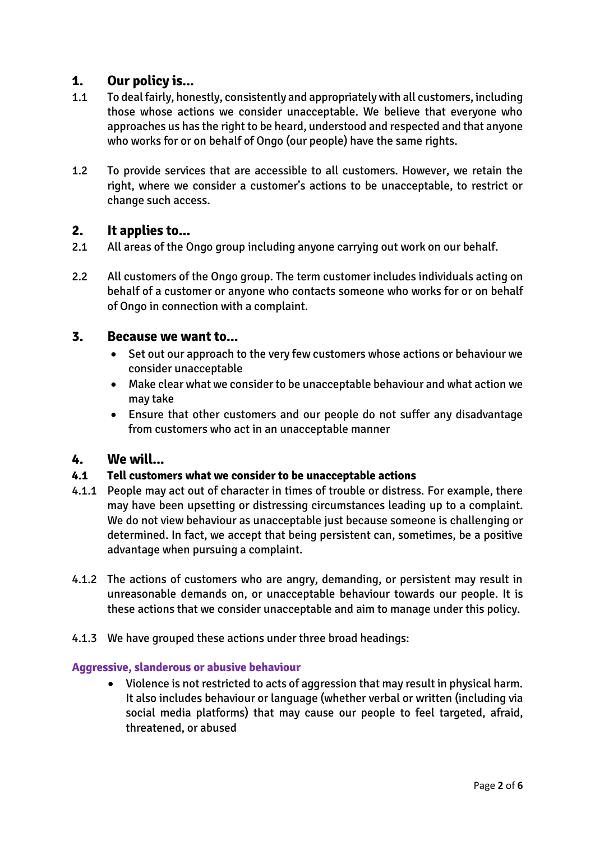# **1. Our policy is...**

- 1.1 To deal fairly, honestly, consistently and appropriately with all customers, including those whose actions we consider unacceptable. We believe that everyone who approaches us has the right to be heard, understood and respected and that anyone who works for or on behalf of Ongo (our people) have the same rights.
- 1.2 To provide services that are accessible to all customers. However, we retain the right, where we consider a customer's actions to be unacceptable, to restrict or change such access.

### **2. It applies to...**

- 2.1 All areas of the Ongo group including anyone carrying out work on our behalf.
- 2.2 All customers of the Ongo group. The term customer includes individuals acting on behalf of a customer or anyone who contacts someone who works for or on behalf of Ongo in connection with a complaint.

#### **3. Because we want to...**

- Set out our approach to the very few customers whose actions or behaviour we consider unacceptable
- Make clear what we consider to be unacceptable behaviour and what action we may take
- Ensure that other customers and our people do not suffer any disadvantage from customers who act in an unacceptable manner

#### **4. We will...**

#### **4.1 Tell customers what we consider to be unacceptable actions**

- 4.1.1 People may act out of character in times of trouble or distress. For example, there may have been upsetting or distressing circumstances leading up to a complaint. We do not view behaviour as unacceptable just because someone is challenging or determined. In fact, we accept that being persistent can, sometimes, be a positive advantage when pursuing a complaint.
- 4.1.2 The actions of customers who are angry, demanding, or persistent may result in unreasonable demands on, or unacceptable behaviour towards our people. It is these actions that we consider unacceptable and aim to manage under this policy.
- 4.1.3 We have grouped these actions under three broad headings:

#### **Aggressive, slanderous or abusive behaviour**

 Violence is not restricted to acts of aggression that may result in physical harm. It also includes behaviour or language (whether verbal or written (including via social media platforms) that may cause our people to feel targeted, afraid, threatened, or abused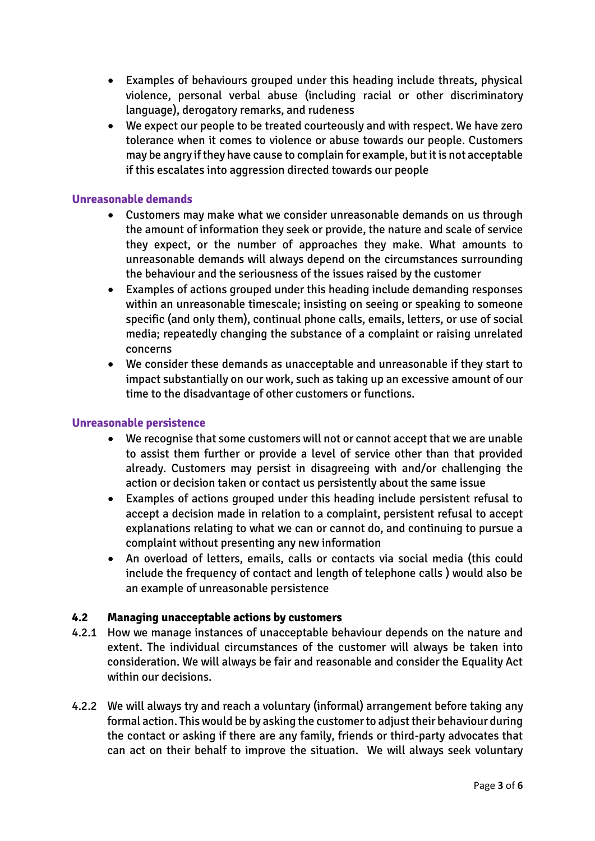- Examples of behaviours grouped under this heading include threats, physical violence, personal verbal abuse (including racial or other discriminatory language), derogatory remarks, and rudeness
- We expect our people to be treated courteously and with respect. We have zero tolerance when it comes to violence or abuse towards our people. Customers may be angry if they have cause to complain for example, butit is not acceptable if this escalates into aggression directed towards our people

#### **Unreasonable demands**

- Customers may make what we consider unreasonable demands on us through the amount of information they seek or provide, the nature and scale of service they expect, or the number of approaches they make. What amounts to unreasonable demands will always depend on the circumstances surrounding the behaviour and the seriousness of the issues raised by the customer
- Examples of actions grouped under this heading include demanding responses within an unreasonable timescale; insisting on seeing or speaking to someone specific (and only them), continual phone calls, emails, letters, or use of social media; repeatedly changing the substance of a complaint or raising unrelated concerns
- We consider these demands as unacceptable and unreasonable if they start to impact substantially on our work, such as taking up an excessive amount of our time to the disadvantage of other customers or functions.

#### **Unreasonable persistence**

- We recognise that some customers will not or cannot accept that we are unable to assist them further or provide a level of service other than that provided already. Customers may persist in disagreeing with and/or challenging the action or decision taken or contact us persistently about the same issue
- Examples of actions grouped under this heading include persistent refusal to accept a decision made in relation to a complaint, persistent refusal to accept explanations relating to what we can or cannot do, and continuing to pursue a complaint without presenting any new information
- An overload of letters, emails, calls or contacts via social media (this could include the frequency of contact and length of telephone calls ) would also be an example of unreasonable persistence

#### **4.2 Managing unacceptable actions by customers**

- 4.2.1 How we manage instances of unacceptable behaviour depends on the nature and extent. The individual circumstances of the customer will always be taken into consideration. We will always be fair and reasonable and consider the Equality Act within our decisions.
- 4.2.2 We will always try and reach a voluntary (informal) arrangement before taking any formal action. This would be by asking the customer to adjust their behaviour during the contact or asking if there are any family, friends or third-party advocates that can act on their behalf to improve the situation. We will always seek voluntary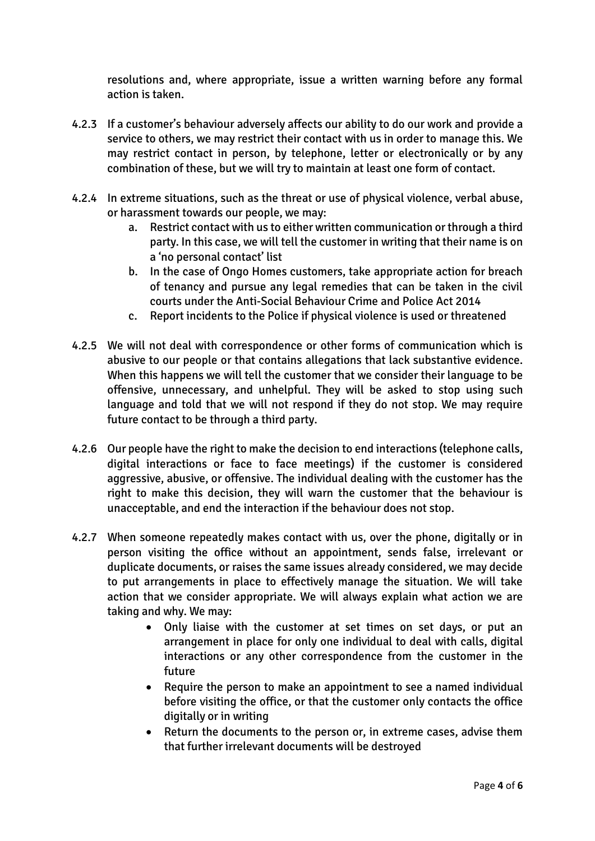resolutions and, where appropriate, issue a written warning before any formal action is taken.

- 4.2.3 If a customer's behaviour adversely affects our ability to do our work and provide a service to others, we may restrict their contact with us in order to manage this. We may restrict contact in person, by telephone, letter or electronically or by any combination of these, but we will try to maintain at least one form of contact.
- 4.2.4 In extreme situations, such as the threat or use of physical violence, verbal abuse, or harassment towards our people, we may:
	- a. Restrict contact with us to either written communication or through a third party. In this case, we will tell the customer in writing that their name is on a 'no personal contact' list
	- b. In the case of Ongo Homes customers, take appropriate action for breach of tenancy and pursue any legal remedies that can be taken in the civil courts under the Anti-Social Behaviour Crime and Police Act 2014
	- c. Report incidents to the Police if physical violence is used or threatened
- 4.2.5 We will not deal with correspondence or other forms of communication which is abusive to our people or that contains allegations that lack substantive evidence. When this happens we will tell the customer that we consider their language to be offensive, unnecessary, and unhelpful. They will be asked to stop using such language and told that we will not respond if they do not stop. We may require future contact to be through a third party.
- 4.2.6 Our people have the right to make the decision to end interactions (telephone calls, digital interactions or face to face meetings) if the customer is considered aggressive, abusive, or offensive. The individual dealing with the customer has the right to make this decision, they will warn the customer that the behaviour is unacceptable, and end the interaction if the behaviour does not stop.
- 4.2.7 When someone repeatedly makes contact with us, over the phone, digitally or in person visiting the office without an appointment, sends false, irrelevant or duplicate documents, or raises the same issues already considered, we may decide to put arrangements in place to effectively manage the situation. We will take action that we consider appropriate. We will always explain what action we are taking and why. We may:
	- Only liaise with the customer at set times on set days, or put an arrangement in place for only one individual to deal with calls, digital interactions or any other correspondence from the customer in the future
	- Require the person to make an appointment to see a named individual before visiting the office, or that the customer only contacts the office digitally or in writing
	- Return the documents to the person or, in extreme cases, advise them that further irrelevant documents will be destroyed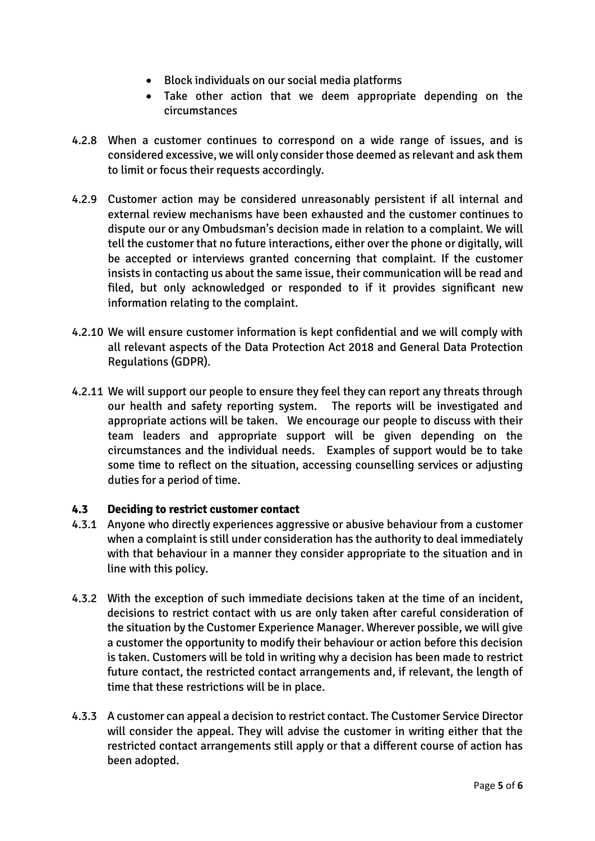- Block individuals on our social media platforms
- Take other action that we deem appropriate depending on the circumstances
- 4.2.8 When a customer continues to correspond on a wide range of issues, and is considered excessive, we will only consider those deemed as relevant and ask them to limit or focus their requests accordingly.
- 4.2.9 Customer action may be considered unreasonably persistent if all internal and external review mechanisms have been exhausted and the customer continues to dispute our or any Ombudsman's decision made in relation to a complaint. We will tell the customer that no future interactions, either over the phone or digitally, will be accepted or interviews granted concerning that complaint. If the customer insists in contacting us about the same issue, their communication will be read and filed, but only acknowledged or responded to if it provides significant new information relating to the complaint.
- 4.2.10 We will ensure customer information is kept confidential and we will comply with all relevant aspects of the Data Protection Act 2018 and General Data Protection Regulations (GDPR).
- 4.2.11 We will support our people to ensure they feel they can report any threats through our health and safety reporting system. The reports will be investigated and appropriate actions will be taken. We encourage our people to discuss with their team leaders and appropriate support will be given depending on the circumstances and the individual needs. Examples of support would be to take some time to reflect on the situation, accessing counselling services or adjusting duties for a period of time.

#### **4.3 Deciding to restrict customer contact**

- 4.3.1 Anyone who directly experiences aggressive or abusive behaviour from a customer when a complaint is still under consideration has the authority to deal immediately with that behaviour in a manner they consider appropriate to the situation and in line with this policy.
- 4.3.2 With the exception of such immediate decisions taken at the time of an incident, decisions to restrict contact with us are only taken after careful consideration of the situation by the Customer Experience Manager. Wherever possible, we will give a customer the opportunity to modify their behaviour or action before this decision is taken. Customers will be told in writing why a decision has been made to restrict future contact, the restricted contact arrangements and, if relevant, the length of time that these restrictions will be in place.
- 4.3.3 A customer can appeal a decision to restrict contact. The Customer Service Director will consider the appeal. They will advise the customer in writing either that the restricted contact arrangements still apply or that a different course of action has been adopted.